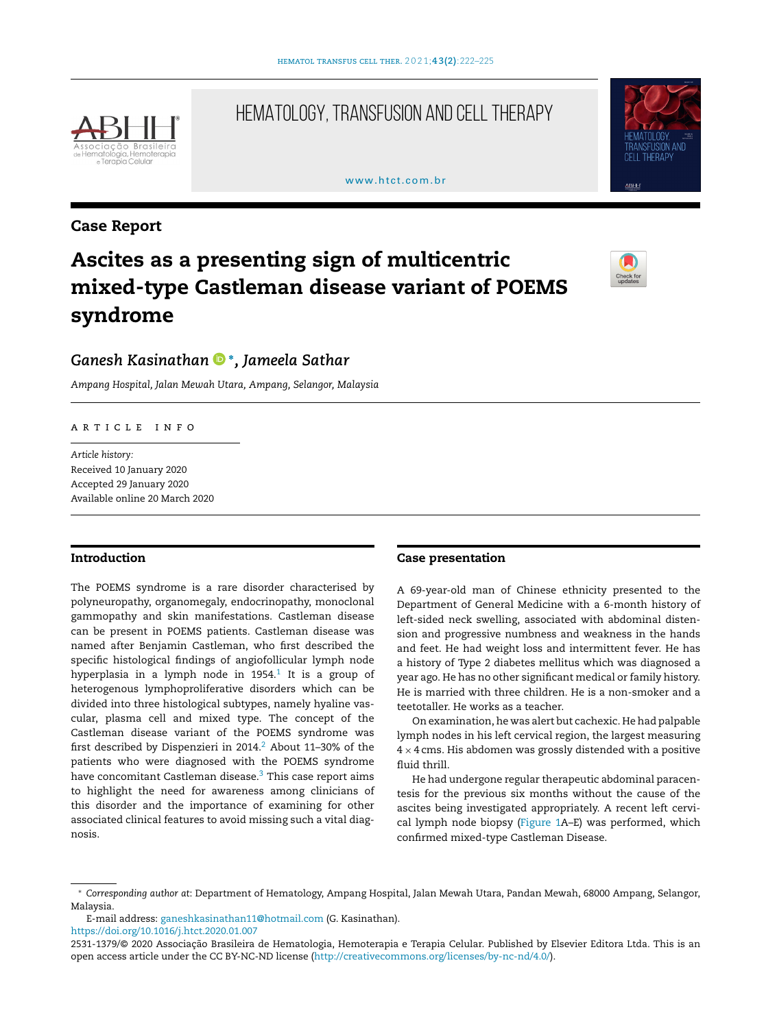

## HEMATOLOGY, TRANSFUSION AND CELL THERAPY

#### [www.htct.com.br](http://www.htct.com.br)



### Case Report

# Ascites as a presenting sign of multicentric mixed-type Castleman disease variant of POEMS syndrome



## *Ganesh Kasinatha[n](https://orcid.org/0000-0002-7489-9261)* <sup>∗</sup> *, Jameela Sathar*

*Ampang Hospital, Jalan Mewah Utara, Ampang, Selangor, Malaysia*

ARTICLE INFO

*Article history:* Received 10 January 2020 Accepted 29 January 2020 Available online 20 March 2020

#### Introduction

The POEMS syndrome is a rare disorder characterised by polyneuropathy, organomegaly, endocrinopathy, monoclonal gammopathy and skin manifestations. Castleman disease can be present in POEMS patients. Castleman disease was named after Benjamin Castleman, who first described the specific histological findings of angiofollicular lymph node hyperplasia in a lymph node in [1](#page-3-0)954. $^1$  It is a group of heterogenous lymphoproliferative disorders which can be divided into three histological subtypes, namely hyaline vascular, plasma cell and mixed type. The concept of the Castleman disease variant of the POEMS syndrome was first described by Dispenzieri in [2](#page-3-0)014. $^2$  About 11-30% of the patients who were diagnosed with the POEMS syndrome have concomitant Castleman disease.<sup>3</sup> [T](#page-3-0)his case report aims to highlight the need for awareness among clinicians of this disorder and the importance of examining for other associated clinical features to avoid missing such a vital diagnosis.

#### Case presentation

A 69-year-old man of Chinese ethnicity presented to the Department of General Medicine with a 6-month history of left-sided neck swelling, associated with abdominal distension and progressive numbness and weakness in the hands and feet. He had weight loss and intermittent fever. He has a history of Type 2 diabetes mellitus which was diagnosed a year ago. He has no other significant medical or family history. He is married with three children. He is a non-smoker and a teetotaller. He works as a teacher.

On examination, he was alert but cachexic. He had palpable lymph nodes in his left cervical region, the largest measuring  $4 \times 4$  cms. His abdomen was grossly distended with a positive fluid thrill.

He had undergone regular therapeutic abdominal paracentesis for the previous six months without the cause of the ascites being investigated appropriately. A recent left cervical lymph node biopsy ([Figure](#page-1-0) 1A–E) was performed, which confirmed mixed-type Castleman Disease.

<https://doi.org/10.1016/j.htct.2020.01.007>

<sup>∗</sup> *Corresponding author at*: Department of Hematology, Ampang Hospital, Jalan Mewah Utara, Pandan Mewah, 68000 Ampang, Selangor, Malaysia.

E-mail address: [ganeshkasinathan11@hotmail.com](mailto:ganeshkasinathan11@hotmail.com) (G. Kasinathan).

<sup>2531-1379/© 2020</sup> Associação Brasileira de Hematologia, Hemoterapia e Terapia Celular. Published by Elsevier Editora Ltda. This is an open access article under the CC BY-NC-ND license [\(http://creativecommons.org/licenses/by-nc-nd/4.0/](http://creativecommons.org/licenses/by-nc-nd/4.0/)).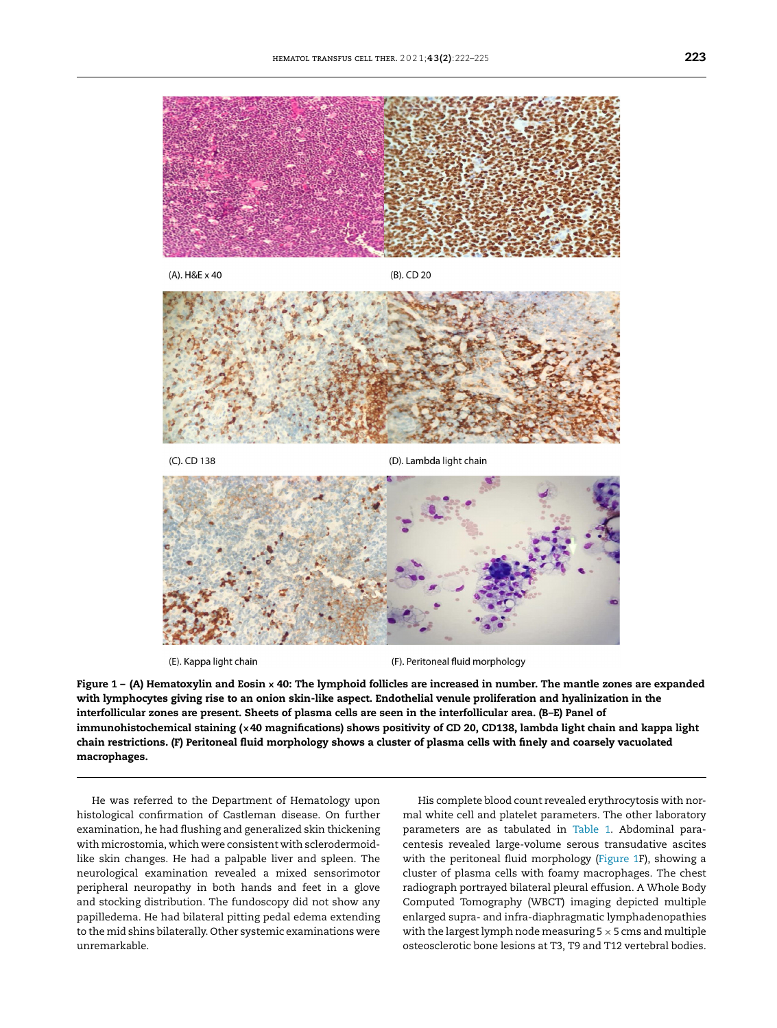<span id="page-1-0"></span>

(E). Kappa light chain

(F). Peritoneal fluid morphology

Figure  $1 - (A)$  Hematoxylin and Eosin  $\times$  40: The lymphoid follicles are increased in number. The mantle zones are expanded with lymphocytes giving rise to an onion skin-like aspect. Endothelial venule proliferation and hyalinization in the interfollicular zones are present. Sheets of plasma cells are seen in the interfollicular area. (B–E) Panel of immunohistochemical staining (×40 magnifications) shows positivity of CD 20, CD138, lambda light chain and kappa light chain restrictions. (F) Peritoneal fluid morphology shows a cluster of plasma cells with finely and coarsely vacuolated macrophages.

He was referred to the Department of Hematology upon histological confirmation of Castleman disease. On further examination, he had flushing and generalized skin thickening with microstomia, which were consistent with sclerodermoidlike skin changes. He had a palpable liver and spleen. The neurological examination revealed a mixed sensorimotor peripheral neuropathy in both hands and feet in a glove and stocking distribution. The fundoscopy did not show any papilledema. He had bilateral pitting pedal edema extending to the mid shins bilaterally. Other systemic examinations were unremarkable.

His complete blood count revealed erythrocytosis with normal white cell and platelet parameters. The other laboratory parameters are as tabulated in [Table](#page-2-0) 1. Abdominal paracentesis revealed large-volume serous transudative ascites with the peritoneal fluid morphology (Figure 1F), showing a cluster of plasma cells with foamy macrophages. The chest radiograph portrayed bilateral pleural effusion. A Whole Body Computed Tomography (WBCT) imaging depicted multiple enlarged supra- and infra-diaphragmatic lymphadenopathies with the largest lymph node measuring  $5 \times 5$  cms and multiple osteosclerotic bone lesions at T3, T9 and T12 vertebral bodies.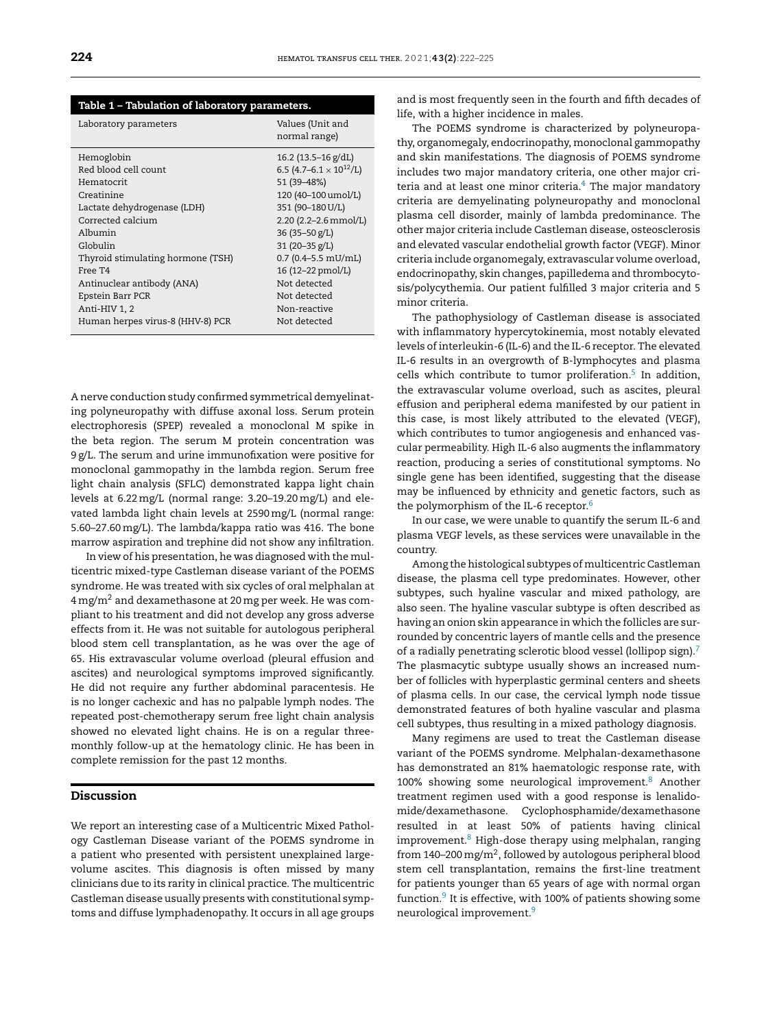<span id="page-2-0"></span>

| Table 1 - Tabulation of laboratory parameters. |                                            |
|------------------------------------------------|--------------------------------------------|
| Laboratory parameters                          | Values (Unit and<br>normal range)          |
| Hemoglobin                                     | $16.2$ (13.5–16 g/dL)                      |
| Red blood cell count                           | 6.5 (4.7–6.1 $\times$ 10 <sup>12</sup> /L) |
| Hematocrit                                     | 51 (39-48%)                                |
| Creatinine                                     | 120 (40-100 umol/L)                        |
| Lactate dehydrogenase (LDH)                    | 351 (90-180 U/L)                           |
| Corrected calcium                              | 2.20 (2.2-2.6 mmol/L)                      |
| Albumin                                        | 36 (35 - 50 $g/L$ )                        |
| Globulin                                       | 31 (20-35 g/L)                             |
| Thyroid stimulating hormone (TSH)              | $0.7$ (0.4-5.5 mU/mL)                      |
| Free T4                                        | 16 (12-22 pmol/L)                          |
| Antinuclear antibody (ANA)                     | Not detected                               |
| Epstein Barr PCR                               | Not detected                               |
| Anti-HIV 1, 2                                  | Non-reactive                               |
| Human herpes virus-8 (HHV-8) PCR               | Not detected                               |

A nerve conduction study confirmed symmetrical demyelinating polyneuropathy with diffuse axonal loss. Serum protein electrophoresis (SPEP) revealed a monoclonal M spike in the beta region. The serum M protein concentration was 9 g/L. The serum and urine immunofixation were positive for monoclonal gammopathy in the lambda region. Serum free light chain analysis (SFLC) demonstrated kappa light chain levels at 6.22mg/L (normal range: 3.20–19.20mg/L) and elevated lambda light chain levels at 2590mg/L (normal range: 5.60–27.60mg/L). The lambda/kappa ratio was 416. The bone marrow aspiration and trephine did not show any infiltration.

In view of his presentation, he was diagnosed with the multicentric mixed-type Castleman disease variant of the POEMS syndrome. He was treated with six cycles of oral melphalan at  $4 \,\mathrm{mg/m^2}$  and dexamethasone at 20 mg per week. He was compliant to his treatment and did not develop any gross adverse effects from it. He was not suitable for autologous peripheral blood stem cell transplantation, as he was over the age of 65. His extravascular volume overload (pleural effusion and ascites) and neurological symptoms improved significantly. He did not require any further abdominal paracentesis. He is no longer cachexic and has no palpable lymph nodes. The repeated post-chemotherapy serum free light chain analysis showed no elevated light chains. He is on a regular threemonthly follow-up at the hematology clinic. He has been in complete remission for the past 12 months.

#### Discussion

We report an interesting case of a Multicentric Mixed Pathology Castleman Disease variant of the POEMS syndrome in a patient who presented with persistent unexplained largevolume ascites. This diagnosis is often missed by many clinicians due to its rarity in clinical practice. The multicentric Castleman disease usually presents with constitutional symptoms and diffuse lymphadenopathy. It occurs in all age groups

and is most frequently seen in the fourth and fifth decades of life, with a higher incidence in males.

The POEMS syndrome is characterized by polyneuropathy, organomegaly, endocrinopathy, monoclonal gammopathy and skin manifestations. The diagnosis of POEMS syndrome includes two major mandatory criteria, one other major criteria and at least one minor criteria. $4$  The major mandatory criteria are demyelinating polyneuropathy and monoclonal plasma cell disorder, mainly of lambda predominance. The other major criteria include Castleman disease, osteosclerosis and elevated vascular endothelial growth factor (VEGF). Minor criteria include organomegaly, extravascular volume overload, endocrinopathy, skin changes, papilledema and thrombocytosis/polycythemia. Our patient fulfilled 3 major criteria and 5 minor criteria.

The pathophysiology of Castleman disease is associated with inflammatory hypercytokinemia, most notably elevated levels of interleukin-6 (IL-6) and the IL-6 receptor. The elevated IL-6 results in an overgrowth of B-lymphocytes and plasma cells which contribute to tumor proliferation.<sup>[5](#page-3-0)</sup> In addition, the extravascular volume overload, such as ascites, pleural effusion and peripheral edema manifested by our patient in this case, is most likely attributed to the elevated (VEGF), which contributes to tumor angiogenesis and enhanced vascular permeability. High IL-6 also augments the inflammatory reaction, producing a series of constitutional symptoms. No single gene has been identified, suggesting that the disease may be influenced by ethnicity and genetic factors, such as the polymorphism of the IL-[6](#page-3-0) receptor.<sup>6</sup>

In our case, we were unable to quantify the serum IL-6 and plasma VEGF levels, as these services were unavailable in the country.

Among the histological subtypes of multicentricCastleman disease, the plasma cell type predominates. However, other subtypes, such hyaline vascular and mixed pathology, are also seen. The hyaline vascular subtype is often described as having an onion skin appearance in which the follicles are surrounded by concentric layers of mantle cells and the presence of a radially penetrating sclerotic blood vessel (lollipop sign).[7](#page-3-0) The plasmacytic subtype usually shows an increased number of follicles with hyperplastic germinal centers and sheets of plasma cells. In our case, the cervical lymph node tissue demonstrated features of both hyaline vascular and plasma cell subtypes, thus resulting in a mixed pathology diagnosis.

Many regimens are used to treat the Castleman disease variant of the POEMS syndrome. Melphalan-dexamethasone has demonstrated an 81% haematologic response rate, with 100% showing some neurological improvement.<sup>[8](#page-3-0)</sup> Another treatment regimen used with a good response is lenalidomide/dexamethasone. Cyclophosphamide/dexamethasone resulted in at least 50% of patients having clinical improvement.[8](#page-3-0) High-dose therapy using melphalan, ranging from 140–200 mg/m<sup>2</sup>, followed by autologous peripheral blood stem cell transplantation, remains the first-line treatment for patients younger than 65 years of age with normal organ function.<sup>[9](#page-3-0)</sup> It is effective, with 100% of patients showing some neurological improvement.[9](#page-3-0)